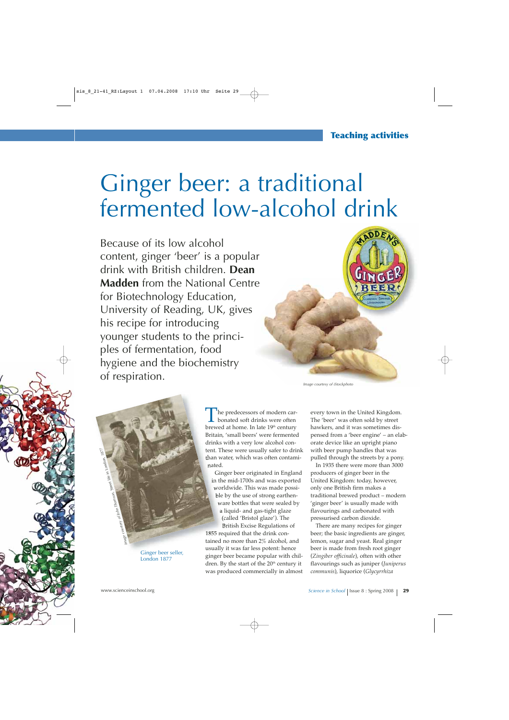# Ginger beer: a traditional fermented low-alcohol drink

Because of its low alcohol content, ginger 'beer' is a popular drink with British children. **Dean Madden** from the National Centre for Biotechnology Education, University of Reading, UK, gives his recipe for introducing younger students to the principles of fermentation, food hygiene and the biochemistry of respiration.



*Image courtesy of iStockphoto*



Ginger beer seller, London 1877

he predecessors of modern carbonated soft drinks were often brewed at home. In late 19<sup>th</sup> century Britain, 'small beers' were fermented drinks with a very low alcohol content. These were usually safer to drink than water, which was often contaminated.

Ginger beer originated in England in the mid-1700s and was exported worldwide. This was made possible by the use of strong earthenware bottles that were sealed by a liquid- and gas-tight glaze (called 'Bristol glaze'). The British Excise Regulations of 1855 required that the drink contained no more than 2% alcohol, and usually it was far less potent: hence ginger beer became popular with children. By the start of the 20<sup>th</sup> century it was produced commercially in almost

every town in the United Kingdom. The 'beer' was often sold by street hawkers, and it was sometimes dispensed from a 'beer engine' – an elaborate device like an upright piano with beer pump handles that was pulled through the streets by a pony.

In 1935 there were more than 3000 producers of ginger beer in the United Kingdom: today, however, only one British firm makes a traditional brewed product – modern 'ginger beer' is usually made with flavourings and carbonated with pressurised carbon dioxide.

There are many recipes for ginger beer; the basic ingredients are ginger, lemon, sugar and yeast. Real ginger beer is made from fresh root ginger (*Zingiber officinale*), often with other flavourings such as juniper (*Juniperus communis*), liquorice (*Glycyrrhiza*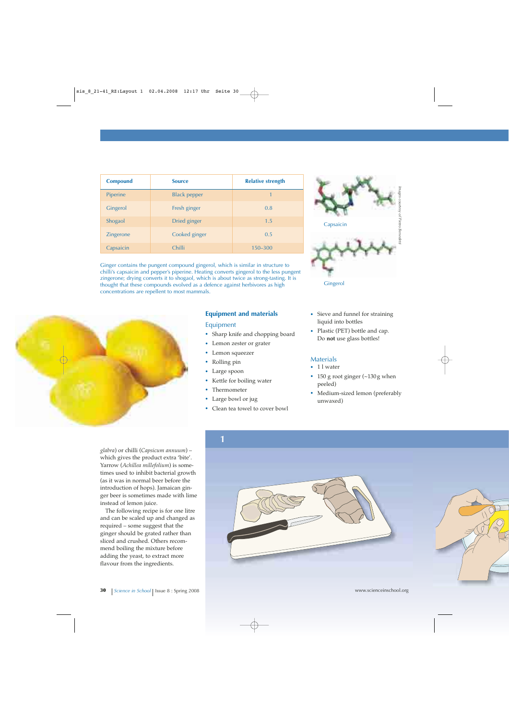| <b>Compound</b> | <b>Source</b>       | <b>Relative strength</b> |
|-----------------|---------------------|--------------------------|
| Piperine        | <b>Black pepper</b> | 1                        |
| Gingerol        | Fresh ginger        | 0.8                      |
| Shogaol         | Dried ginger        | 1.5                      |
| Zingerone       | Cooked ginger       | 0.5                      |
| Capsaicin       | Chilli              | $150 - 300$              |

Ginger contains the pungent compound gingerol, which is similar in structure to chilli's capsaicin and pepper's piperine. Heating converts gingerol to the less pungent zingerone; drying converts it to shogaol, which is about twice as strong-tasting. It is thought that these compounds evolved as a defence against herbivores as high concentrations are repellent to most mammals.



# **Equipment and materials**

#### Equipment

- **·** Sharp knife and chopping board
- **·** Lemon zester or grater
- **·** Lemon squeezer
- **·** Rolling pin
- **·** Large spoon
- **·** Kettle for boiling water
- **·** Thermometer
- **·** Large bowl or jug
- **·** Clean tea towel to cover bowl



- **·** Sieve and funnel for straining liquid into bottles
- **·** Plastic (PET) bottle and cap. Do **not** use glass bottles!

## **Materials**

- **·** 1 l water
- **·** 150 g root ginger (~130 g when peeled)
- **·** Medium-sized lemon (preferably unwaxed)

*glabra*) or chilli (*Capsicum annuum*) – which gives the product extra 'bite'. Yarrow (*Achillea millefolium*) is sometimes used to inhibit bacterial growth (as it was in normal beer before the introduction of hops). Jamaican ginger beer is sometimes made with lime instead of lemon juice.

The following recipe is for one litre and can be scaled up and changed as required – some suggest that the ginger should be grated rather than sliced and crushed. Others recommend boiling the mixture before adding the yeast, to extract more flavour from the ingredients.



**30** *Science in School* | Issue 8 : Spring 2008 www.scienceinschool.org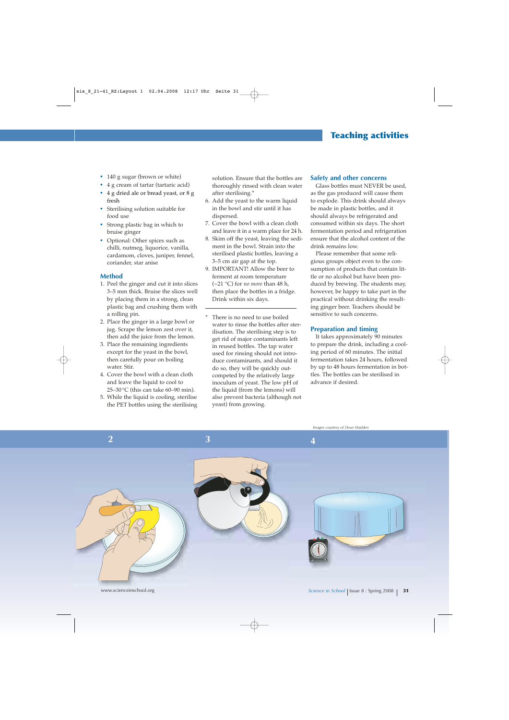# **Teaching activities**

- **·** 140 g sugar (brown or white)
- **·** 4 g cream of tartar (tartaric acid)
- **·** 4 g dried ale or bread yeast, or 8 g fresh
- **·** Sterilising solution suitable for food use
- **·** Strong plastic bag in which to bruise ginger
- **·** Optional: Other spices such as chilli, nutmeg, liquorice, vanilla, cardamom, cloves, juniper, fennel, coriander, star anise

#### **Method**

- 1. Peel the ginger and cut it into slices 3–5 mm thick. Bruise the slices well by placing them in a strong, clean plastic bag and crushing them with a rolling pin.
- 2. Place the ginger in a large bowl or jug. Scrape the lemon zest over it, then add the juice from the lemon.
- 3. Place the remaining ingredients except for the yeast in the bowl, then carefully pour on boiling water. Stir.
- 4. Cover the bowl with a clean cloth and leave the liquid to cool to 25–30 $\degree$ C (this can take 60–90 min).
- 5. While the liquid is cooling, sterilise the PET bottles using the sterilising

solution. Ensure that the bottles are thoroughly rinsed with clean water after sterilising.\*

- 6. Add the yeast to the warm liquid in the bowl and stir until it has dispersed.
- 7. Cover the bowl with a clean cloth and leave it in a warm place for 24 h.
- 8. Skim off the yeast, leaving the sediment in the bowl. Strain into the sterilised plastic bottles, leaving a 3–5 cm air gap at the top.
- 9. IMPORTANT! Allow the beer to ferment at room temperature (~21 °C) for *no more* than 48 h, then place the bottles in a fridge. Drink within six days.
- There is no need to use boiled water to rinse the bottles after sterilisation. The sterilising step is to get rid of major contaminants left in reused bottles. The tap water used for rinsing should not introduce contaminants, and should it do so, they will be quickly outcompeted by the relatively large inoculum of yeast. The low pH of the liquid (from the lemons) will also prevent bacteria (although not yeast) from growing.

#### **Safety and other concerns**

Glass bottles must NEVER be used, as the gas produced will cause them to explode. This drink should always be made in plastic bottles, and it should always be refrigerated and consumed within six days. The short fermentation period and refrigeration ensure that the alcohol content of the drink remains low.

Please remember that some religious groups object even to the consumption of products that contain little or no alcohol but have been produced by brewing. The students may, however, be happy to take part in the practical without drinking the resulting ginger beer. Teachers should be sensitive to such concerns.

#### **Preparation and timing**

It takes approximately 90 minutes to prepare the drink, including a cooling period of 60 minutes. The initial fermentation takes 24 hours, followed by up to 48 hours fermentation in bottles. The bottles can be sterilised in advance if desired.

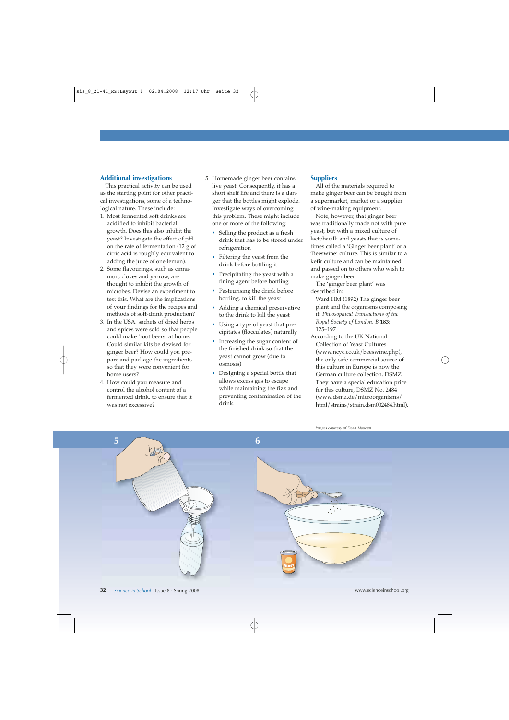## **Additional investigations**

This practical activity can be used as the starting point for other practical investigations, some of a technological nature. These include:

- 1. Most fermented soft drinks are acidified to inhibit bacterial growth. Does this also inhibit the yeast? Investigate the effect of pH on the rate of fermentation (12 g of citric acid is roughly equivalent to adding the juice of one lemon).
- 2. Some flavourings, such as cinnamon, cloves and yarrow, are thought to inhibit the growth of microbes. Devise an experiment to test this. What are the implications of your findings for the recipes and methods of soft-drink production?
- 3. In the USA, sachets of dried herbs and spices were sold so that people could make 'root beers' at home. Could similar kits be devised for ginger beer? How could you prepare and package the ingredients so that they were convenient for home users?
- 4. How could you measure and control the alcohol content of a fermented drink, to ensure that it was not excessive?
- 5. Homemade ginger beer contains live yeast. Consequently, it has a short shelf life and there is a danger that the bottles might explode. Investigate ways of overcoming this problem. These might include one or more of the following:
	- **·** Selling the product as a fresh drink that has to be stored under refrigeration
	- **·** Filtering the yeast from the drink before bottling it
	- Precipitating the yeast with a fining agent before bottling
	- **·** Pasteurising the drink before bottling, to kill the yeast
	- **·** Adding a chemical preservative to the drink to kill the yeast
	- **·** Using a type of yeast that precipitates (flocculates) naturally
	- **·** Increasing the sugar content of the finished drink so that the yeast cannot grow (due to osmosis)
	- **·** Designing a special bottle that allows excess gas to escape while maintaining the fizz and preventing contamination of the drink.

### **Suppliers**

All of the materials required to make ginger beer can be bought from a supermarket, market or a supplier of wine-making equipment.

Note, however, that ginger beer was traditionally made not with pure yeast, but with a mixed culture of lactobacilli and yeasts that is sometimes called a 'Ginger beer plant' or a 'Beeswine' culture. This is similar to a kefir culture and can be maintained and passed on to others who wish to make ginger beer.

The 'ginger beer plant' was described in:

- Ward HM (1892) The ginger beer plant and the organisms composing it. *Philosophical Transactions of the Royal Society of London. B* **183**: 125–197
- According to the UK National Collection of Yeast Cultures (www.ncyc.co.uk/beeswine.php), the only safe commercial source of this culture in Europe is now the German culture collection, DSMZ. They have a special education price for this culture, DSMZ No. 2484 (www.dsmz.de/microorganisms/ html/strains/strain.dsm002484.html).

*Images courtesy of Dean Madden*